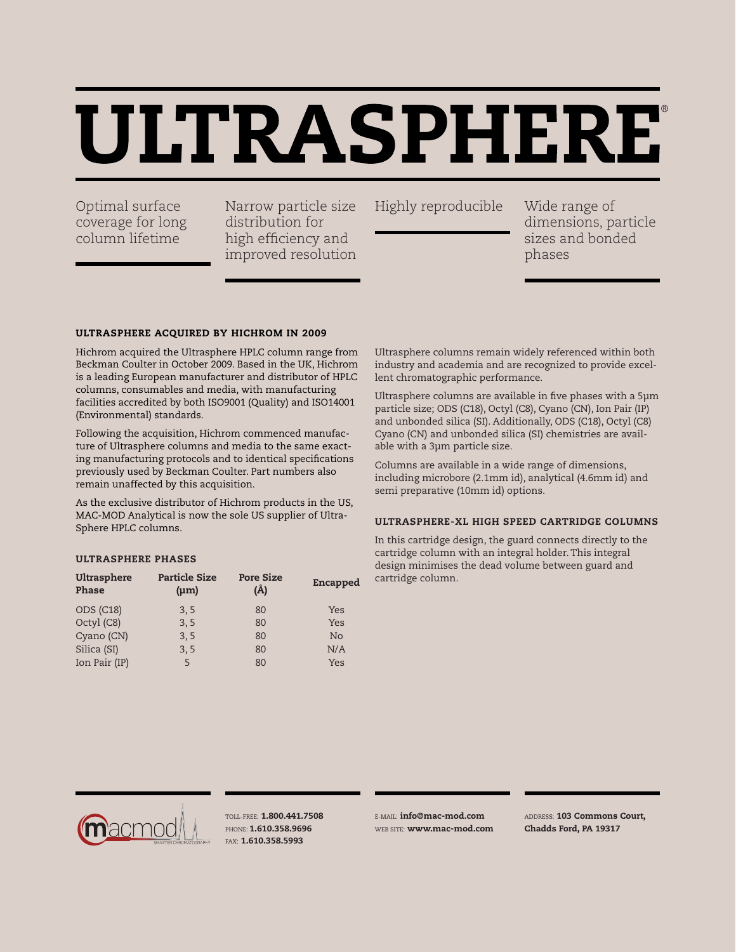# ULTRASPHERE

coverage for long column lifetime

Optimal surface Marrow particle size Highly reproducible Narrow particle size distribution for high efficiency and improved resolution

Wide range of dimensions, particle sizes and bonded phases

#### Ultrasphere Acquired by Hichrom in 2009

Hichrom acquired the Ultrasphere HPLC column range from Beckman Coulter in October 2009. Based in the UK, Hichrom is a leading European manufacturer and distributor of HPLC columns, consumables and media, with manufacturing facilities accredited by both ISO9001 (Quality) and ISO14001 (Environmental) standards.

Following the acquisition, Hichrom commenced manufacture of Ultrasphere columns and media to the same exacting manufacturing protocols and to identical specifications previously used by Beckman Coulter. Part numbers also remain unaffected by this acquisition.

As the exclusive distributor of Hichrom products in the US, MAC-MOD Analytical is now the sole US supplier of Ultra-Sphere HPLC columns.

#### Ultrasphere Phases

| Ultrasphere<br><b>Phase</b> | <b>Particle Size</b><br>$(\mu m)$ | <b>Pore Size</b><br>(Å) | Encapped       |
|-----------------------------|-----------------------------------|-------------------------|----------------|
| <b>ODS (C18)</b>            | 3, 5                              | 80                      | Yes            |
| Octyl (C8)                  | 3, 5                              | 80                      | Yes            |
| Cyano (CN)                  | 3, 5                              | 80                      | N <sub>o</sub> |
| Silica (SI)                 | 3, 5                              | 80                      | N/A            |
| Ion Pair (IP)               | 5                                 | 80                      | Yes            |

Ultrasphere columns remain widely referenced within both industry and academia and are recognized to provide excellent chromatographic performance.

Ultrasphere columns are available in five phases with a 5μm particle size; ODS (C18), Octyl (C8), Cyano (CN), Ion Pair (IP) and unbonded silica (SI). Additionally, ODS (C18), Octyl (C8) Cyano (CN) and unbonded silica (SI) chemistries are available with a 3μm particle size.

Columns are available in a wide range of dimensions, including microbore (2.1mm id), analytical (4.6mm id) and semi preparative (10mm id) options.

#### Ultrasphere-XL High Speed Cartridge Columns

In this cartridge design, the guard connects directly to the cartridge column with an integral holder. This integral design minimises the dead volume between guard and cartridge column.



Toll-Free: 1.800.441.7508 PHONE: 1.610.358.9696 Fax: 1.610.358.5993

E-mail: info@mac-mod.com WEB SITE: **www.mac-mod.com**  Address: 103 Commons Court, Chadds Ford, PA 19317